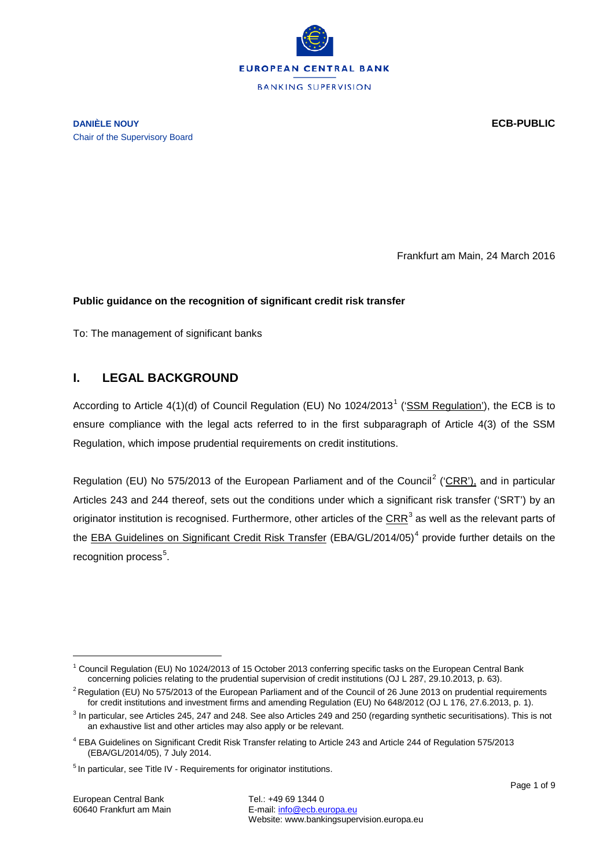

**DANIÈLE NOUY ECB-PUBLIC** Chair of the Supervisory Board

Frankfurt am Main, 24 March 2016

#### **Public guidance on the recognition of significant credit risk transfer**

To: The management of significant banks

## **I. LEGAL BACKGROUND**

According to Article 4([1](#page-0-0))(d) of Council Regulation (EU) No  $1024/2013<sup>1</sup>$  [\('SSM Regulation'](http://eur-lex.europa.eu/legal-content/EN/TXT/?&uri=CELEX:32013R1024)), the ECB is to ensure compliance with the legal acts referred to in the first subparagraph of Article 4(3) of the SSM Regulation, which impose prudential requirements on credit institutions.

Regulation (EU) No 575/[2](#page-0-1)013 of the European Parliament and of the Council<sup>2</sup> [\('CRR'](http://eur-lex.europa.eu/LexUriServ/LexUriServ.do?uri=OJ:L:2013:176:0001:0337:EN:PDF)), and in particular Articles 243 and 244 thereof, sets out the conditions under which a significant risk transfer ('SRT') by an originator institution is recognised. Furthermore, other articles of the [CRR](http://eur-lex.europa.eu/LexUriServ/LexUriServ.do?uri=OJ:L:2013:176:0001:0337:EN:PDF) $3$  as well as the relevant parts of the [EBA Guidelines on Significant Credit Risk Transfer](https://www.eba.europa.eu/documents/10180/749215/EBA-GL-2014-05+Guidelines+on+Significant+Risk+Transfer.pdf) (EBA/GL/201[4](#page-0-3)/05)<sup>4</sup> provide further details on the recognition process<sup>[5](#page-0-4)</sup>.

<span id="page-0-0"></span> $1$  Council Regulation (EU) No 1024/2013 of 15 October 2013 conferring specific tasks on the European Central Bank concerning policies relating to the prudential supervision of credit institutions (OJ L 287, 29.10.2013, p. 63).

<span id="page-0-1"></span> $2$  Regulation (EU) No 575/2013 of the European Parliament and of the Council of 26 June 2013 on prudential requirements for credit institutions and investment firms and amending Regulation (EU) No 648/2012 (OJ L 176, 27.6.2013, p. 1).

<span id="page-0-2"></span><sup>3</sup> In particular, see Articles 245, 247 and 248. See also Articles 249 and 250 (regarding synthetic securitisations). This is not an exhaustive list and other articles may also apply or be relevant.

<span id="page-0-3"></span><sup>4</sup> EBA Guidelines on Significant Credit Risk Transfer relating to Article 243 and Article 244 of Regulation 575/2013 (EBA/GL/2014/05), 7 July 2014.

<span id="page-0-4"></span><sup>&</sup>lt;sup>5</sup> In particular, see Title IV - Requirements for originator institutions.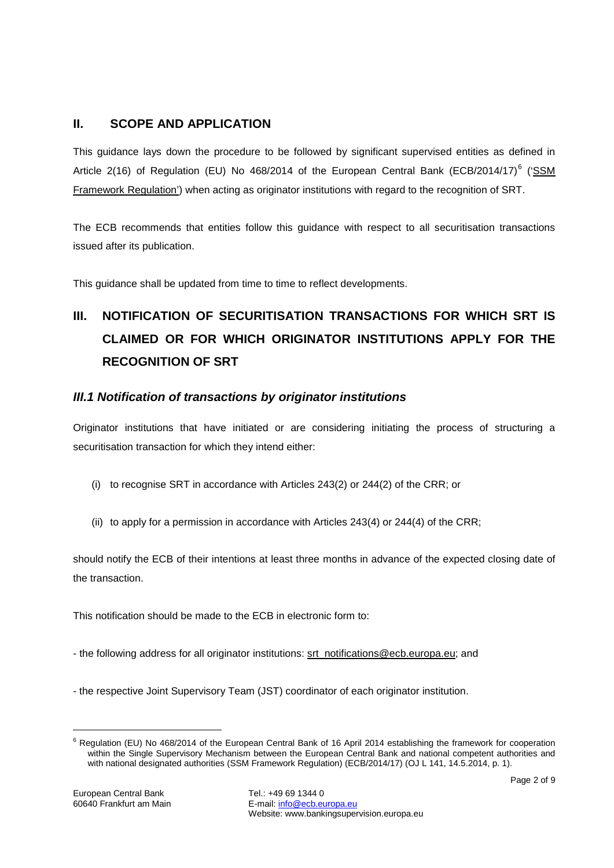# **II. SCOPE AND APPLICATION**

This guidance lays down the procedure to be followed by significant supervised entities as defined in Article 2(1[6](#page-1-0)) of Regulation (EU) No 468/2014 of the European Central Bank (ECB/2014/17)<sup>6</sup> ('SSM [Framework Regulation'\)](https://www.ecb.europa.eu/ecb/legal/pdf/celex_32014r0468_en_txt.pdf) when acting as originator institutions with regard to the recognition of SRT.

The ECB recommends that entities follow this guidance with respect to all securitisation transactions issued after its publication.

This guidance shall be updated from time to time to reflect developments.

# **III. NOTIFICATION OF SECURITISATION TRANSACTIONS FOR WHICH SRT IS CLAIMED OR FOR WHICH ORIGINATOR INSTITUTIONS APPLY FOR THE RECOGNITION OF SRT**

## *III.1 Notification of transactions by originator institutions*

Originator institutions that have initiated or are considering initiating the process of structuring a securitisation transaction for which they intend either:

- (i) to recognise SRT in accordance with Articles 243(2) or 244(2) of the CRR; or
- (ii) to apply for a permission in accordance with Articles 243(4) or 244(4) of the CRR;

should notify the ECB of their intentions at least three months in advance of the expected closing date of the transaction.

This notification should be made to the ECB in electronic form to:

- the following address for all originator institutions: [srt\\_notifications@ecb.europa.eu;](mailto:srt_notifications@ecb.europa.eu) and
- the respective Joint Supervisory Team (JST) coordinator of each originator institution.

<span id="page-1-0"></span> $6$  Regulation (EU) No 468/2014 of the European Central Bank of 16 April 2014 establishing the framework for cooperation within the Single Supervisory Mechanism between the European Central Bank and national competent authorities and with national designated authorities (SSM Framework Regulation) (ECB/2014/17) (OJ L 141, 14.5.2014, p. 1).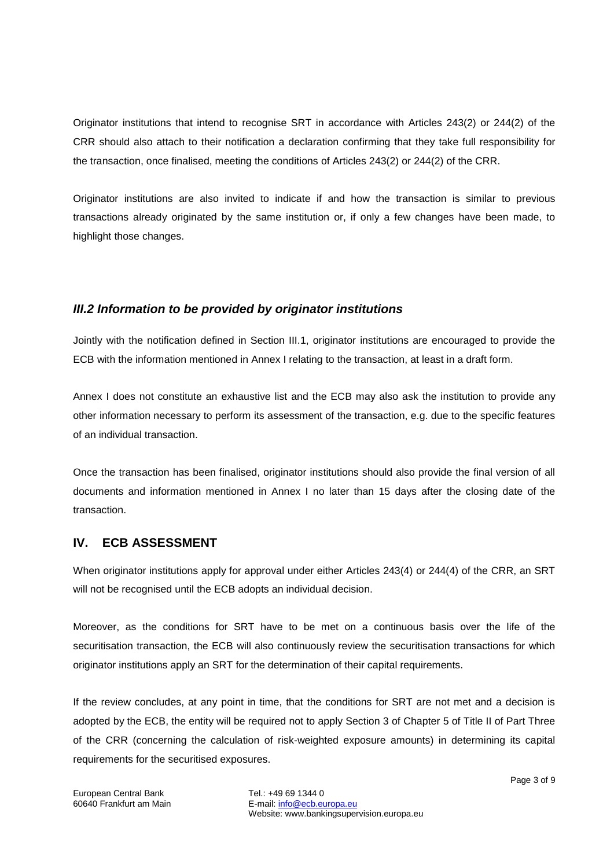Originator institutions that intend to recognise SRT in accordance with Articles 243(2) or 244(2) of the CRR should also attach to their notification a declaration confirming that they take full responsibility for the transaction, once finalised, meeting the conditions of Articles 243(2) or 244(2) of the CRR.

Originator institutions are also invited to indicate if and how the transaction is similar to previous transactions already originated by the same institution or, if only a few changes have been made, to highlight those changes.

### *III.2 Information to be provided by originator institutions*

Jointly with the notification defined in Section III.1, originator institutions are encouraged to provide the ECB with the information mentioned in Annex I relating to the transaction, at least in a draft form.

Annex I does not constitute an exhaustive list and the ECB may also ask the institution to provide any other information necessary to perform its assessment of the transaction, e.g. due to the specific features of an individual transaction.

Once the transaction has been finalised, originator institutions should also provide the final version of all documents and information mentioned in Annex I no later than 15 days after the closing date of the transaction.

## **IV. ECB ASSESSMENT**

When originator institutions apply for approval under either Articles 243(4) or 244(4) of the CRR, an SRT will not be recognised until the ECB adopts an individual decision.

Moreover, as the conditions for SRT have to be met on a continuous basis over the life of the securitisation transaction, the ECB will also continuously review the securitisation transactions for which originator institutions apply an SRT for the determination of their capital requirements.

If the review concludes, at any point in time, that the conditions for SRT are not met and a decision is adopted by the ECB, the entity will be required not to apply Section 3 of Chapter 5 of Title II of Part Three of the CRR (concerning the calculation of risk-weighted exposure amounts) in determining its capital requirements for the securitised exposures.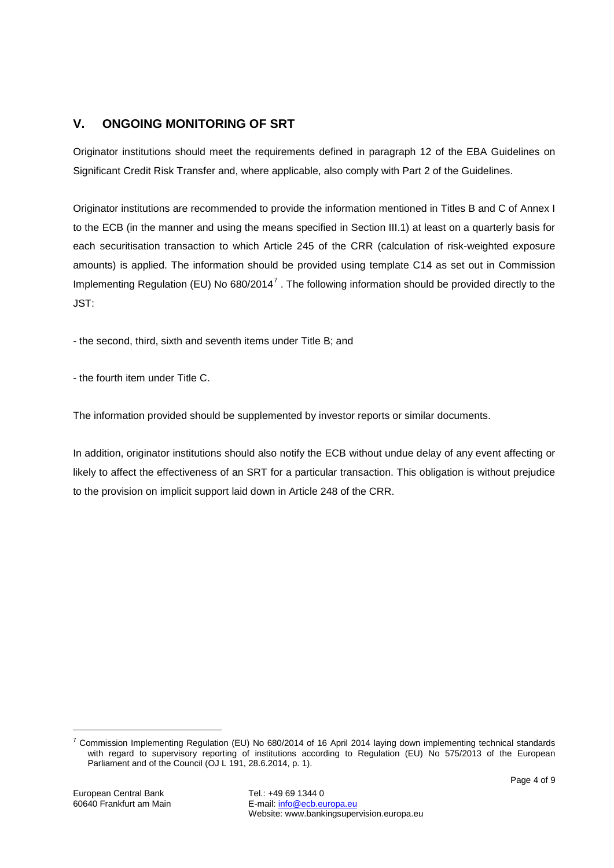# **V. ONGOING MONITORING OF SRT**

Originator institutions should meet the requirements defined in paragraph 12 of the EBA Guidelines on Significant Credit Risk Transfer and, where applicable, also comply with Part 2 of the Guidelines.

Originator institutions are recommended to provide the information mentioned in Titles B and C of Annex I to the ECB (in the manner and using the means specified in Section III.1) at least on a quarterly basis for each securitisation transaction to which Article 245 of the CRR (calculation of risk-weighted exposure amounts) is applied. The information should be provided using template C14 as set out in Commission Implementing Regulation (EU) No  $680/2014^7$  $680/2014^7$ . The following information should be provided directly to the JST:

- the second, third, sixth and seventh items under Title B; and

- the fourth item under Title C.

The information provided should be supplemented by investor reports or similar documents.

In addition, originator institutions should also notify the ECB without undue delay of any event affecting or likely to affect the effectiveness of an SRT for a particular transaction. This obligation is without prejudice to the provision on implicit support laid down in Article 248 of the CRR.

<span id="page-3-0"></span><sup>&</sup>lt;sup>7</sup> Commission Implementing Regulation (EU) No 680/2014 of 16 April 2014 laying down implementing technical standards with regard to supervisory reporting of institutions according to Regulation (EU) No 575/2013 of the European Parliament and of the Council (OJ L 191, 28.6.2014, p. 1).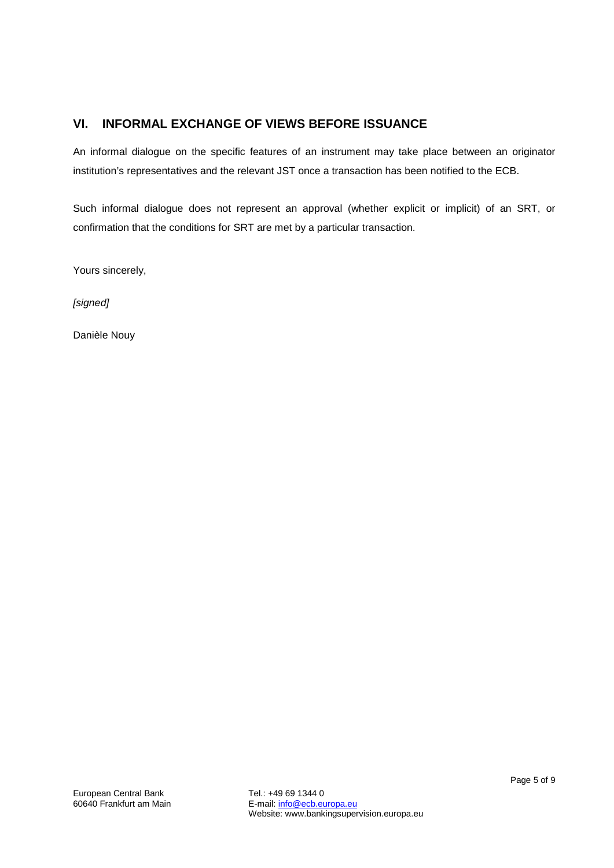# **VI. INFORMAL EXCHANGE OF VIEWS BEFORE ISSUANCE**

An informal dialogue on the specific features of an instrument may take place between an originator institution's representatives and the relevant JST once a transaction has been notified to the ECB.

Such informal dialogue does not represent an approval (whether explicit or implicit) of an SRT, or confirmation that the conditions for SRT are met by a particular transaction.

Yours sincerely,

*[signed]*

Danièle Nouy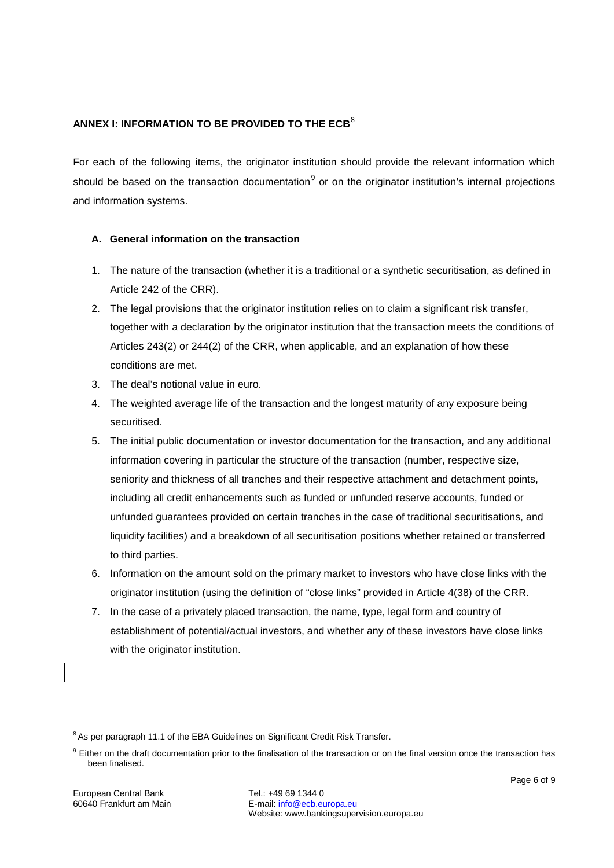## **ANNEX I: INFORMATION TO BE PROVIDED TO THE ECB<sup>[8](#page-5-0)</sup>**

For each of the following items, the originator institution should provide the relevant information which should be based on the transaction documentation<sup>[9](#page-5-1)</sup> or on the originator institution's internal projections and information systems.

#### **A. General information on the transaction**

- 1. The nature of the transaction (whether it is a traditional or a synthetic securitisation, as defined in Article 242 of the CRR).
- 2. The legal provisions that the originator institution relies on to claim a significant risk transfer, together with a declaration by the originator institution that the transaction meets the conditions of Articles 243(2) or 244(2) of the CRR, when applicable, and an explanation of how these conditions are met.
- 3. The deal's notional value in euro.
- 4. The weighted average life of the transaction and the longest maturity of any exposure being securitised.
- 5. The initial public documentation or investor documentation for the transaction, and any additional information covering in particular the structure of the transaction (number, respective size, seniority and thickness of all tranches and their respective attachment and detachment points, including all credit enhancements such as funded or unfunded reserve accounts, funded or unfunded guarantees provided on certain tranches in the case of traditional securitisations, and liquidity facilities) and a breakdown of all securitisation positions whether retained or transferred to third parties.
- 6. Information on the amount sold on the primary market to investors who have close links with the originator institution (using the definition of "close links" provided in Article 4(38) of the CRR.
- 7. In the case of a privately placed transaction, the name, type, legal form and country of establishment of potential/actual investors, and whether any of these investors have close links with the originator institution.

<span id="page-5-0"></span><sup>&</sup>lt;sup>8</sup> As per paragraph 11.1 of the EBA Guidelines on Significant Credit Risk Transfer.

<span id="page-5-1"></span><sup>&</sup>lt;sup>9</sup> Either on the draft documentation prior to the finalisation of the transaction or on the final version once the transaction has been finalised.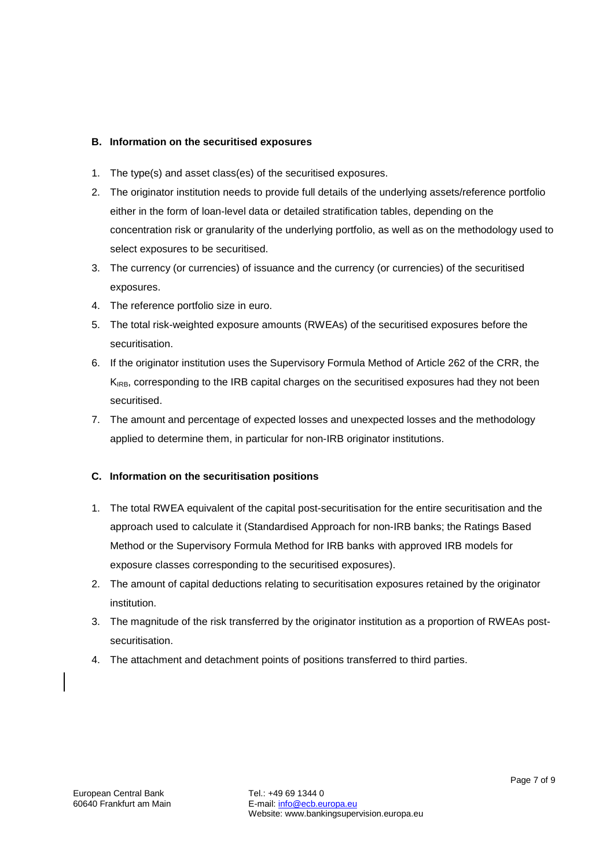#### **B. Information on the securitised exposures**

- 1. The type(s) and asset class(es) of the securitised exposures.
- 2. The originator institution needs to provide full details of the underlying assets/reference portfolio either in the form of loan-level data or detailed stratification tables, depending on the concentration risk or granularity of the underlying portfolio, as well as on the methodology used to select exposures to be securitised.
- 3. The currency (or currencies) of issuance and the currency (or currencies) of the securitised exposures.
- 4. The reference portfolio size in euro.
- 5. The total risk-weighted exposure amounts (RWEAs) of the securitised exposures before the securitisation.
- 6. If the originator institution uses the Supervisory Formula Method of Article 262 of the CRR, the  $K_{\rm IRB}$ , corresponding to the IRB capital charges on the securitised exposures had they not been securitised.
- 7. The amount and percentage of expected losses and unexpected losses and the methodology applied to determine them, in particular for non-IRB originator institutions.

#### **C. Information on the securitisation positions**

- 1. The total RWEA equivalent of the capital post-securitisation for the entire securitisation and the approach used to calculate it (Standardised Approach for non-IRB banks; the Ratings Based Method or the Supervisory Formula Method for IRB banks with approved IRB models for exposure classes corresponding to the securitised exposures).
- 2. The amount of capital deductions relating to securitisation exposures retained by the originator institution.
- 3. The magnitude of the risk transferred by the originator institution as a proportion of RWEAs postsecuritisation.
- 4. The attachment and detachment points of positions transferred to third parties.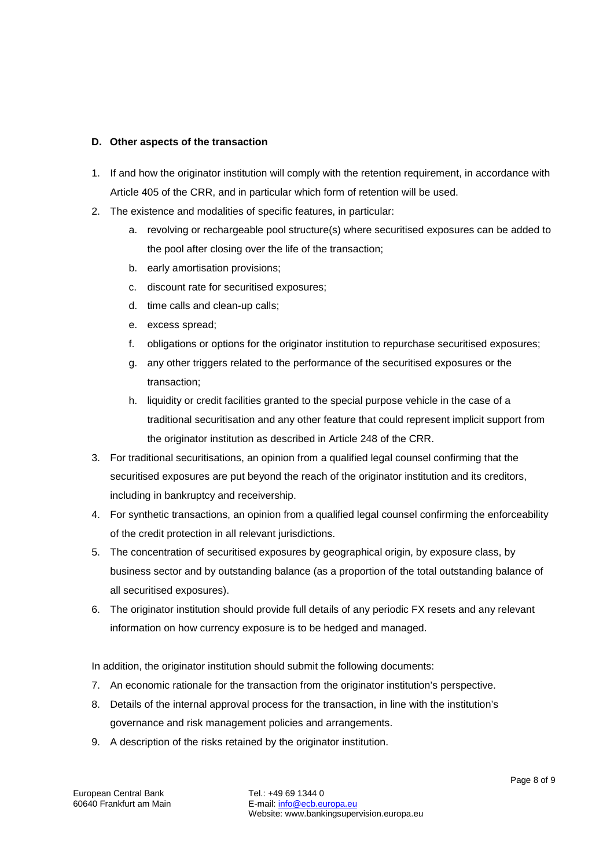#### **D. Other aspects of the transaction**

- 1. If and how the originator institution will comply with the retention requirement, in accordance with Article 405 of the CRR, and in particular which form of retention will be used.
- 2. The existence and modalities of specific features, in particular:
	- a. revolving or rechargeable pool structure(s) where securitised exposures can be added to the pool after closing over the life of the transaction;
	- b. early amortisation provisions;
	- c. discount rate for securitised exposures;
	- d. time calls and clean-up calls;
	- e. excess spread;
	- f. obligations or options for the originator institution to repurchase securitised exposures;
	- g. any other triggers related to the performance of the securitised exposures or the transaction;
	- h. liquidity or credit facilities granted to the special purpose vehicle in the case of a traditional securitisation and any other feature that could represent implicit support from the originator institution as described in Article 248 of the CRR.
- 3. For traditional securitisations, an opinion from a qualified legal counsel confirming that the securitised exposures are put beyond the reach of the originator institution and its creditors, including in bankruptcy and receivership.
- 4. For synthetic transactions, an opinion from a qualified legal counsel confirming the enforceability of the credit protection in all relevant jurisdictions.
- 5. The concentration of securitised exposures by geographical origin, by exposure class, by business sector and by outstanding balance (as a proportion of the total outstanding balance of all securitised exposures).
- 6. The originator institution should provide full details of any periodic FX resets and any relevant information on how currency exposure is to be hedged and managed.

In addition, the originator institution should submit the following documents:

- 7. An economic rationale for the transaction from the originator institution's perspective.
- 8. Details of the internal approval process for the transaction, in line with the institution's governance and risk management policies and arrangements.
- 9. A description of the risks retained by the originator institution.